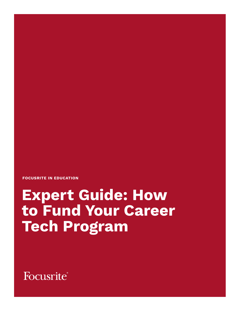FOCUSRITE IN EDUCATION

## Expert Guide: How to Fund Your Career Tech Program

Focusrite®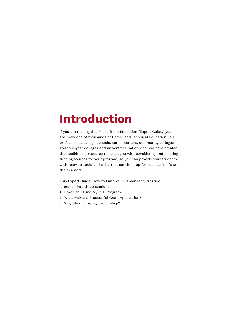### Introduction

If you are reading this Focusrite in Education "Expert Guide," you are likely one of thousands of Career and Technical Education (CTE) professionals at high schools, career centers, community colleges, and four-year colleges and universities nationwide. We have created this toolkit as a resource to assist you with considering and locating funding sources for your program, so you can provide your students with relevant tools and skills that set them up for success in life and their careers.

This Expert Guide: How to Fund Your Career Tech Program is broken into three sections:

- 1. How Can I Fund My CTE Program?
- 2. What Makes a Successful Grant Application?
- 3. Why Should I Apply for Funding?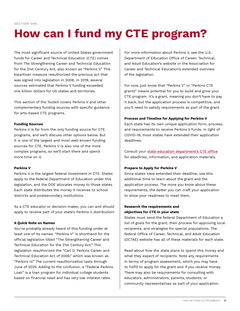### How can I fund my CTE program?

The most significant source of United States government funds for Career and Technical Education (CTE) comes from The Strengthening Career and Technical Education for the 21st Century Act, also known as "Perkins V." This bipartisan measure reauthorized the previous act that was signed into legislation in 2008. In 2019, several sources estimated that Perkins V funding exceeded one billion dollars for US states and territories.

This section of the Toolkit covers Perkins V and other complementary funding sources with specific guidance for arts-based CTE programs.

#### Funding Sources

Perkins V is far from the only funding source for CTE programs, and we'll discuss other options below. But it is one of the largest and most well-known funding sources for CTE. Perkins V is also one of the more complex programs, so we'll start there and spend more time on it.

#### Perkins V

Perkins V is the largest federal investment in CTE. States apply to the federal Department of Education under this legislation, and the DOE allocates money to those states. Each state distributes the money it receives to school districts and postsecondary institutions.

As a CTE educator or decision-maker, you can and should apply to receive part of your state's Perkins V distribution!

#### A Quick Note on Names

You've probably already heard of this funding under at least one of its names. "Perkins V" is shorthand for the official legislation titled "The Strengthening Career and Technical Education for the 21st Century Act." This legislation reauthorized the "Carl D. Perkins Career and Technical Education Act of 2006," which was known as "Perkins IV." The current reauthorization lasts through June of 2025. Adding to the confusion, a "Federal Perkins Loan" is a loan program for individual college students based on financial need and has very low interest rates.

For more information about Perkins V, see the U.S. Department of Education Office of Career, Technical, and Adult Education's website or the Association for Career and Technical Education's extended overview of the legislation.

For now, just know that "Perkins V" or "Perkins CTE grants" means potential for you to build and grow your CTE program. It's a grant, meaning you don't have to pay it back, but the application process is competitive, and you'll need to satisfy requirements as part of the grant.

#### Process and Timeline for Applying for Perkins V

Each state has its own unique application form, process, and requirements to receive Perkins V funds. In light of COVID-19, most states have extended their application deadlines.

Consult your [state education department's CTE office](https://internal-search.ecs.org/comparisons/secondary-career-and-technical-education-01) for deadlines, information, and application materials.

#### Prepare to Apply for Perkins V

Since states have extended their deadline, use this additional time to learn about the grant and the application process. The more you know about these requirements, the better you can craft your application to show your readiness to meet them.

#### Research the requirements and objectives for CTE in your state

States must send the federal Department of Education a list of goals for the grant, their process for approving local recipients, and strategies for special populations. The federal Office of Career, Technical, and Adult Education (OCTAE) website has all of these materials for each state.

Read about how the state plans to spend this money and what they expect of recipients. Note any requirements in terms of program assessment, which you may have to fulfill to apply for the grant and if you receive money. There may also be requirements for consulting with educators, administrators, parents, students, or community representatives as part of your application.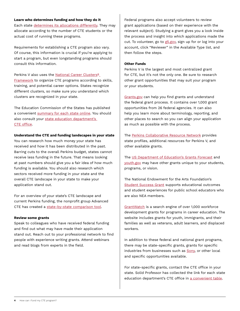#### Learn who determines funding and how they do it

Each state [determines its allocations differently](https://ednote.ecs.org/state-approaches-to-secondary-cte-funding/). They may allocate according to the number of CTE students or the actual cost of running these programs.

Requirements for establishing a CTE program also vary. Of course, this information is crucial if you're applying to start a program, but even longstanding programs should consult this information.

Perkins V also uses the [National Career Clusters®](https://careertech.org/career-clusters) [Framework](https://careertech.org/career-clusters) to organize CTE programs according to skills, training, and potential career options. States recognize different clusters, so make sure you understand which clusters are recognized in your state.

The Education Commission of the States has published a convenient [summary for each state online](https://www.ecs.org/50-state-comparison-secondary-career-and-technical-education/). You should also consult your state education department's [CTE office](https://internal-search.ecs.org/comparisons/secondary-career-and-technical-education-01).

#### Understand the CTE and funding landscapes in your state

You can research how much money your state has received and how it has been distributed in the past. Barring cuts to the overall Perkins budget, states cannot receive less funding in the future. That means looking at past numbers should give you a fair idea of how much funding is available. You should also research which sectors received more funding in your state and the overall CTE landscape in your state to make your application stand out.

For an overview of your state's CTE landscape and current Perkins funding, the nonprofit group Advanced CTE has created a [state-by-state comparison too](https://careertech.org/cte-your-state)l.

#### Review some grants

Speak to colleagues who have received federal funding and find out what may have made their application stand out. Reach out to your professional network to find people with experience writing grants. Attend webinars and read blogs from experts in the field.

Federal programs also accept volunteers to review grant applications (based on their experience with the relevant subject). Studying a grant gives you a look inside the process and insight into which applications made the cut. To volunteer, go to [g5.gov](https://g5.gov/WebBanner.html), sign up for or log into your account, click "Reviewer" in the Available Type list, and then follow the steps.

#### Other Funds

Perkins V is the largest and most centralized grant for CTE, but it's not the only one. Be sure to research other grant opportunities that may suit your program or your students.

[Grants.gov](https://www.grants.gov/) can help you find grants and understand the federal grant process. It contains over 1,000 grant opportunities from 26 federal agencies. It can also help you learn more about terminology, reporting, and other places to search so you can align your application as much as possible with the process.

The [Perkins Collaborative Resource Network](https://cte.ed.gov/) provides state profiles, additional resources for Perkins V, and other available grants.

The [US Department of Education's Grants Forecast](https://www2.ed.gov/fund/contract/find/forecast.html) and [youth.gov](https://youth.gov/) may have other grants unique to your students, programs, or vision.

The National Endowment for the Arts Foundation's [Student Success Grant](https://www.neafoundation.org/for-educators/student-success-grants/) supports educational outcomes and student experiences for public school educators who are also NEA members.

[GrantWatch](https://www.grantwatch.com/cat/40/workforce-grants.html) is a search engine of over 1,000 workforce development grants for programs in career education. The website includes grants for youth, immigrants, and their families as well as veterans, adult learners, and displaced workers.

In addition to these federal and national grant programs, there may be state-specific grants, grants for specific industries from businesses such as **Sony**, or other local and specific opportunities available.

For state-specific grants, contact the CTE office in your state. Solid Professor has collected the link for each state education department's CTE office in [a convenient table](https://www.solidprofessor.com/blog/how-to-apply-for-perkins-grant-funding/).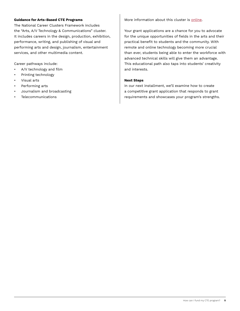#### Guidance for Arts-Based CTE Programs

The National Career Clusters Framework includes the "Arts, A/V Technology & Communications" cluster. It includes careers in the design, production, exhibition, performance, writing, and publishing of visual and performing arts and design, journalism, entertainment services, and other multimedia content.

Career pathways include:

- A/V technology and film
- Printing technology
- Visual arts
- Performing arts
- Journalism and broadcasting
- **Telecommunications**

More information about this cluster is [online.](https://careertech.org/arts)

Your grant applications are a chance for you to advocate for the unique opportunities of fields in the arts and their practical benefit to students and the community. With remote and online technology becoming more crucial than ever, students being able to enter the workforce with advanced technical skills will give them an advantage. This educational path also taps into students' creativity and interests.

#### Next Steps

In our next installment, we'll examine how to create a competitive grant application that responds to grant requirements and showcases your program's strengths.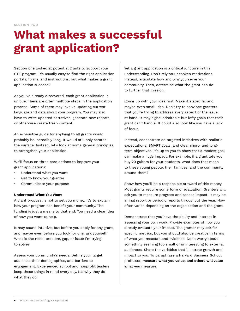### What makes a successful grant application?

Section one looked at potential grants to support your CTE program. It's usually easy to find the right application portals, forms, and instructions, but what makes a grant application succeed?

As you've already discovered, each grant application is unique. There are often multiple steps in the application process. Some of them may involve updating current language and data about your program. You may also have to write updated narratives, generate new reports, or otherwise create fresh content.

An exhaustive guide for applying to all grants would probably be incredibly long. It would still only scratch the surface. Instead, let's look at some general principles to strengthen your application.

We'll focus on three core actions to improve your grant applications:

- Understand what you want
- Get to know your granter
- Communicate your purpose

#### Understand What You Want

A grant proposal is not to get you money. It's to explain how your program can benefit your community. The funding is just a means to that end. You need a clear idea of how you want to help.

It may sound intuitive, but before you apply for any grant, and maybe even before you look for one, ask yourself: What is the need, problem, gap, or issue I'm trying to solve?

Assess your community's needs. Define your target audience, their demographics, and barriers to engagement. Experienced school and nonprofit leaders keep these things in mind every day. It's why they do what they do!

Yet a grant application is a critical juncture in this understanding. Don't rely on unspoken motivations. Instead, articulate how and why you serve your community. Then, determine what the grant can do to further that mission.

Come up with your idea first. Make it a specific and maybe even small idea. Don't try to convince granters that you're trying to address every aspect of the issue at hand. It may signal admirable but lofty goals that their grant can't handle. It could also look like you have a lack of focus.

Instead, concentrate on targeted initiatives with realistic expectations, SMART goals, and clear short- and longterm objectives. It's up to you to show that a modest goal can make a huge impact. For example, if a grant lets you buy 20 guitars for your students, what does that mean to these young people, their families, and the community around them?

Show how you'll be a responsible steward of this money Most grants require some form of evaluation. Granters will ask you to measure progress and assess impact. It may be a final report or periodic reports throughout the year. How often varies depending on the organization and the grant.

Demonstrate that you have the ability and interest in assessing your own work. Provide examples of how you already evaluate your impact. The granter may ask for specific metrics, but you should also be creative in terms of what you measure and evidence. Don't worry about something seeming too small or uninteresting to external audiences. Share the variables that illustrate growth and impact to you. To paraphrase a Harvard Business School professor, measure what you value, and others will value what you measure.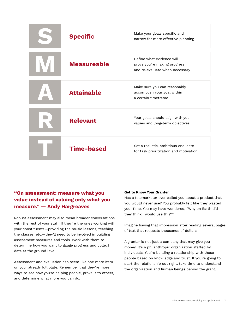| <b>Specific</b>    | Make your goals specific and<br>narrow for more effective planning                          |
|--------------------|---------------------------------------------------------------------------------------------|
| <b>Measureable</b> | Define what evidence will<br>prove you're making progress<br>and re-evaluate when necessary |
| <b>Attainable</b>  | Make sure you can reasonably<br>accomplish your goal within<br>a certain timeframe          |
| <b>Relevant</b>    | Your goals should align with your<br>values and long-term objectives                        |
| <b>Time-based</b>  | Set a realistic, ambitious end-date<br>for task prioritization and motivation               |

### "On assessment: measure what you value instead of valuing only what you measure." — Andy Hargreaves

Robust assessment may also mean broader conversations with the rest of your staff. If they're the ones working with your constituents—providing the music lessons, teaching the classes, etc.—they'll need to be involved in building assessment measures and tools. Work with them to determine how you want to gauge progress and collect data at the ground level.

Assessment and evaluation can seem like one more item on your already full plate. Remember that they're more ways to see how you're helping people, prove it to others, and determine what more you can do.

#### Get to Know Your Granter

Has a telemarketer ever called you about a product that you would never use? You probably felt like they wasted your time. You may have wondered, "Why on Earth did they think I would use this?"

Imagine having that impression after reading several pages of text that requests thousands of dollars.

A granter is not just a company that may give you money. It's a philanthropic organization staffed by individuals. You're building a relationship with those people based on knowledge and trust. If you're going to start the relationship out right, take time to understand the organization and human beings behind the grant.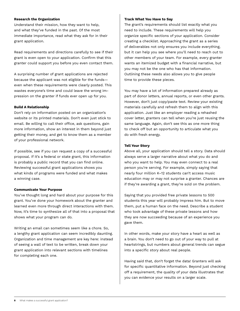#### Research the Organization

Understand their mission, how they want to help, and what they've funded in the past. Of the most immediate importance, read what they ask for in their grant application.

Read requirements and directions carefully to see if their grant is even open to your application. Confirm that this granter could support you before you even contact them.

A surprising number of grant applications are rejected because the applicant was not eligible for the funds even when these requirements were clearly posted. This wastes everyone's time and could leave the wrong impression on the granter if funds ever open up for you.

#### Build A Relationship

Don't rely on information posted on an organization's website or its printed materials. Don't even just stick to email. Be willing to call their office, ask questions, gain more information, show an interest in them beyond just getting their money, and get to know them as a member of your professional network.

If possible, see if you can request a copy of a successful proposal. If it's a federal or state grant, this information is probably a public record that you can find online. Reviewing successful grant applications shows you what kinds of programs were funded and what makes a winning case.

#### Communicate Your Purpose

You've thought long and hard about your purpose for this grant. You've done your homework about the granter and learned even more through direct interactions with them. Now, it's time to synthesize all of that into a proposal that shows what your program can do.

Writing an email can sometimes seem like a chore. So, a lengthy grant application can seem incredibly daunting. Organization and time management are key here: instead of seeing a wall of text to be written, break down your grant application into relevant sections with timelines for completing each one.

#### Track What You Have to Say

The grant's requirements should list exactly what you need to include. These requirements will help you organize specific sections of your application. Consider creating a checklist. Approaching the grant as a series of deliverables not only ensures you include everything, but it can help you see where you'll need to reach out to other members of your team. For example, every granter wants an itemized budget with a financial narrative, but you may not be the one who has that information. Outlining these needs also allows you to give people time to provide these pieces.

You may have a lot of information prepared already as part of donor letters, annual reports, or even other grants. However, don't just copy/paste text. Review your existing materials carefully and refresh them to align with this application. Just like an employer reading a rehashed cover letter, granters can tell when you're just reusing the same language. Again, don't see this as one more thing to check off but an opportunity to articulate what you do with fresh energy.

#### Tell Your Story

Above all, your application should tell a story. Data should always serve a larger narrative about what you do and who you want to help. You may even connect to a real person you're serving. For example, simply saying that nearly four million K–12 students can't access music education may or may not surprise a granter. Chances are if they're awarding a grant, they're sold on the problem.

Saying that you provided free private lessons to 500 students this year will probably impress him. But to move them, put a human face on the need. Describe a student who took advantage of these private lessons and how they are now succeeding because of an experience you gave them.

In other words, make your story have a heart as well as a brain. You don't need to go out of your way to pull at heartstrings, but numbers about general trends can segue into a specific story about real people.

Having said that, don't forget the data! Granters will ask for specific quantitative information. Beyond just checking off a requirement, the quality of your data illustrates that you can evidence your results on a larger scale.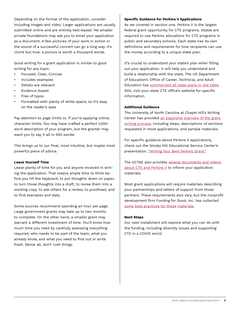Depending on the format of the application, consider including images and video. Larger applications are usually submitted online and are entirely text-based. Yet smaller private foundations may ask you to email your application as a document. A few pictures of your work in action or the sound of a successful concert can go a long way. It's cliché but true: a picture is worth a thousand words.

Good writing for a grant application is similar to good writing for any topic:

- Focused, Clear, Concise
- Includes examples
- Details are relevant
- Evidence-based
- Free of typos
- Formatted with plenty of white space, so it's easy on the reader's eyes

Pay attention to page limits or, if you're applying online, character limits. You may have crafted a perfect 1,000 word description of your program, but the granter may want you to say it all in 500 words!

This brings us to our final, most intuitive, but maybe most powerful piece of advice.

#### Leave Yourself Time

Leave plenty of time for you and anyone involved in writing the application. That means ample time to think before you hit the keyboard, to put thoughts down on paper, to turn those thoughts into a draft, to revise them into a working copy, to ask others for a review, to proofread, and to find examples and data.

Some sources recommend spending an hour per page. Large government grants may take up to two months to complete. On the other hand, a smaller grant may warrant a different investment of time. You'll know how much time you need by carefully assessing everything required, who needs to be part of the team, what you already know, and what you need to find out or write fresh. Above all, don't rush things.

#### Specific Guidance for Perkins V Applications

As we covered in section one, Perkins V is the largest federal grant opportunity for CTE programs. States are required to use Perkins allocations for CTE programs in public and secondary schools. Each state has its own definitions and requirements for how recipients can use the money according to a unique state plan.

It's crucial to understand your state's plan when filling out your application. It will help you understand and build a relationship with the state. The US Department of Education's Office of Career, Technical, and Adult Education has [summarized all state plans in one table](https://cte.ed.gov/dataexplorer/build). Still, visit your state CTE office's website for specific information.

#### Additional Guidance

The University of North Carolina at Chapel Hill's Writing Center has provided an expansive overview of the grant [writing process,](https://writingcenter.unc.edu/tips-and-tools/grant-proposals-or-give-me-the-money/) including steps, descriptions of sections requested in most applications, and sample materials.

For specific guidance about Perkins V applications, check out the Smoky Hill Educational Service Center's presentation, ["Writing Your Best Perkins Grant."](https://www.smokyhill.org/vimages/shared/vnews/stories/52e7d59bb14c8/Writing%20Your%20Best%20Perkins%20Grant.pdf)

The OCTAE also provides several documents and videos [about CTE and Perkins V](https://cte.ed.gov/legislation/perkins-v) to inform your application materials.

Most grant applications will require materials describing your partnerships and letters of support from those partners. These requirements also vary, but the nonprofit development firm Funding for Good, Inc. has collected [some best practices for these materials.](https://fundingforgood.org/quick-tips-partnership-letters-and-agreements/)

#### Next Steps

Our next installment will explore what you can do with the funding, including diversity issues and supporting CTE in a COVID world.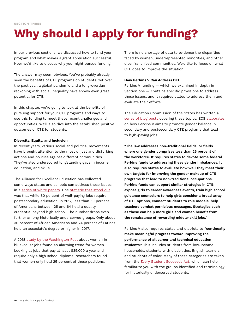# Why should I apply for funding?

In our previous sections, we discussed how to fund your program and what makes a grant application successful. Now, we'd like to discuss why you might pursue funding.

The answer may seem obvious. You've probably already seen the benefits of CTE programs on students. Yet over the past year, a global pandemic and a long-overdue reckoning with social inequality have shown even great potential for CTE.

In this chapter, we're going to look at the benefits of pursuing support for your CTE programs and ways to use this funding to meet these recent challenges and opportunities. We'll also dive into the established positive outcomes of CTE for students.

#### Diversity, Equity, and Inclusion

In recent years, various social and political movements have brought attention to the most unjust and disturbing actions and policies against different communities. They've also underscored longstanding gaps in income, education, and skills.

The Alliance for Excellent Education has collected some ways states and schools can address these issues in a [series of white papers.](https://all4ed.org/perkins/) One [statistic that stood out](https://mk0all4edorgjxiy8xf9.kinstacdn.com/wp-content/uploads/2019/07/Perkins-State-Plan-Recs_FINAL.pdf) was that while 80 percent of well-paying jobs require postsecondary education, in 2017, less than 50 percent of Americans between 25 and 64 held a quality credential beyond high school. The number drops even further among historically underserved groups. Only about 30 percent of African Americans and 24 percent of Latinos held an associate's degree or higher in 2017.

A 2018 [study by the Washington Post](https://www.washingtonpost.com/business/economy/blue-collar-men-are-riding-americas-economic-wave-women-not-so-much/2018/10/22/c7879694-d60b-11e8-aeb7-ddcad4a0a54e_story.html) about women in blue-collar jobs found an alarming trend for women. Looking at jobs that pay at least \$35,000 a year and require only a high school diploma, researchers found that women only hold 25 percent of these positions.

There is no shortage of data to evidence the disparities faced by women, underrepresented minorities, and other disenfranchised communities. We'd like to focus on what CTE does to improve the situation.

#### How Perkins V Can Address DEI

Perkins V funding — which we examined in depth in Section one — contains specific provisions to address these issues, and it requires states to address them and evaluate their efforts.

The Education Commission of the States has written a [series of blog posts](https://ednote.ecs.org/tag/perkins-v-series/) covering these topics. ECS [elaborates](https://ednote.ecs.org/perkins-v-tackling-gender-disparities-in-cte/) on how Perkins V aims to promote gender balance in secondary and postsecondary CTE programs that lead to high-paying jobs:

"The law addresses non-traditional fields, or fields where one gender comprises less than 25 percent of the workforce. It requires states to devote some federal Perkins funds to addressing these gender imbalances. It also requires states to evaluate how well they meet their own targets for improving the gender makeup of CTE programs that lead to non-traditional occupations. Perkins funds can support similar strategies in CTE: expose girls to career awareness events, train high school guidance counselors to help girls consider a broad array of CTE options, connect students to role models, help teachers combat pernicious messages. Strategies such as these can help more girls and women benefit from the renaissance of rewarding middle-skill jobs."

Perkins V also requires states and districts to "continually make meaningful progress toward improving the performance of all career and technical education students." This includes students from low-income households, students with disabilities, English learners, and students of color. Many of these categories are taken from the [Every Student Succeeds Act](https://www.understood.org/en/school-learning/your-childs-rights/basics-about-childs-rights/every-student-succeeds-act-essa-what-you-need-to-know), which can help familiarize you with the groups identified and terminology for historically underserved students.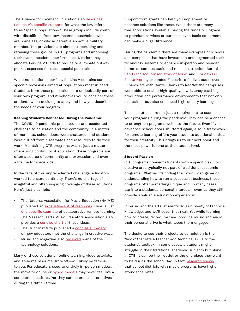The Alliance for Excellent Education also [describes](https://mk0all4edorgjxiy8xf9.kinstacdn.com/wp-content/uploads/2019/09/Perkins-CTE-Special-Populations_FINAL.pdf)  [Perkins V's specific supports](https://mk0all4edorgjxiy8xf9.kinstacdn.com/wp-content/uploads/2019/09/Perkins-CTE-Special-Populations_FINAL.pdf) for what the law refers to as "special populations." These groups include youth with disabilities, from low-income households, who are homeless, or whose parent is an active military member. The provisions are aimed at recruiting and retaining these groups in CTE programs and improving their overall academic performance. Districts may allocate Perkins V funds to reduce or eliminate out-ofpocket expenses for these special populations.

While no solution is perfect, Perkins V contains some specific provisions aimed at populations most in need. Students from these populations are undoubtedly part of your own program, and it behooves you to consider these students when deciding to apply and how you describe the needs of your program.

#### Keeping Students Connected During the Pandemic

The COVID-19 pandemic presented an unprecedented challenge to education and the community. In a matter of moments, school doors were shuttered, and students were cut off from classmates and resources to do their work. Maintaining CTE programs wasn't just a matter of ensuring continuity of education; these programs are often a source of community and expression and even a lifeline for some kids.

In the face of this unprecedented challenge, educators worked to ensure continuity. There's no shortage of insightful and often inspiring coverage of these solutions, Here's just a sample:

- The National Association for Music Education (NAfME) published an [exhaustive list of resources](https://nafme.org/covid-19/). Here is just [one specific example](https://nafme.org/how-to-make-music-with-your-ensembles-even-during-covid-19/) of collaborative remote learning.
- The Massachusetts Music Educators Association also provides a **concise chart** of these ideas.
- The Hunt Institute published a [concise summary](https://hunt-institute.org/resources/2020/12/impact-of-covid-19-on-career-technical-education-courses/) of how educators met the challenge in creative ways.
- MusicTech magazine also [reviewed](https://www.musictech.net/features/music-education-tech-coronavirus-lockdown/) some of the technology solutions.

Many of these solutions—online learning, video tutorials, and at-home resource drop-off—will likely be familiar to you. For educators used to entirely in-person models, the move to online or [hybrid models](https://www.panoramaed.com/blog/hybrid-learning-return-to-school) may never feel like a complete substitute. Yet they can be crucial alternatives during this difficult time.

Support from grants can help you implement or enhance solutions like these. While there are many free applications available, having the funds to upgrade to premium services or purchase even basic equipment can make a huge difference.

During the pandemic there are many examples of schools and campuses that have invested in and augmented their technology systems to enhance in-person and blended home-to-campus audio and music instruction. Both the [San Francisco Conservatory of Music](https://www.sportsvideo.org/2021/01/27/advanced-system-groups-provides-dante-audio-networking-to-san-francisco-conservatory-of-music-for-socially-distant-performances/) and [Florida's Full](https://www.fullsail.edu/about/full-sail-stories/full-sail-installs-extensive-focusrite-rednet-system)  [Sail University](https://www.fullsail.edu/about/full-sail-stories/full-sail-installs-extensive-focusrite-rednet-system) expanded Focusrite's RedNet audio-over-IP hardware with Dante. Thanks to RedNet the campuses were able to enable high-quality, low-latency teaching, production and performance environments that not only maintained but also enhanced high-quality learning.

These solutions are not just a requirement to sustain your programs during the pandemic. They can be a chance to strengthen programs well into the future. Even if you never see school doors shuttered again, a solid framework for remote learning offers your students additional outlets for their creativity. This brings us to our next point and the most powerful one at the student level.

#### Student Passion

CTE programs connect students with a specific skill or creative area typically not part of traditional academic programs. Whether it's coding their own video game or understanding how to run a successful business, these programs offer something unique and, in many cases, tap into a student's personal interests—even as they still provide a valuable education experience!

In music and the arts, students do gain plenty of technical knowledge, and we'll cover that next. Yet while learning how to create, record, mix and produce music and audio, their personal drive is what keeps them engaged.

The desire to see their projects to completion is the "hook" that lets a teacher add technical skills to the student's toolbox. In some cases, a student might struggle in their traditional academic subjects but shine in CTE. It can be their outlet or the one place they want to be during the school day. In fact, [research shows](https://search.proquest.com/docview/518654287) that school districts with music programs have higher attendance rates.